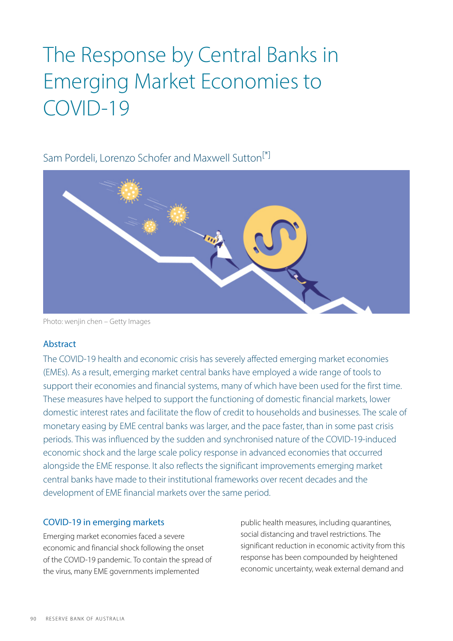# The Response by Central Banks in Emerging Market Economies to COVID-19

## <span id="page-0-0"></span>Sam Pordeli, Lorenzo Schofer and Maxwell Sutton<sup>[\*]</sup>



Photo: wenjin chen – Getty Images

## Abstract

The COVID-19 health and economic crisis has severely affected emerging market economies (EMEs). As a result, emerging market central banks have employed a wide range of tools to support their economies and financial systems, many of which have been used for the first time. These measures have helped to support the functioning of domestic financial markets, lower domestic interest rates and facilitate the flow of credit to households and businesses. The scale of monetary easing by EME central banks was larger, and the pace faster, than in some past crisis periods. This was influenced by the sudden and synchronised nature of the COVID-19 -induced economic shock and the large scale policy response in advanced economies that occurred alongside the EME response. It also reflects the significant improvements emerging market central banks have made to their institutional frameworks over recent decades and the development of EME financial markets over the same period.

## COVID-19 in emerging markets

Emerging market economies faced a severe economic and financial shock following the onset of the COVID-19 pandemic. To contain the spread of the virus, many EME governments implemented

public health measures, including quarantines, social distancing and travel restrictions. The significant reduction in economic activity from this response has been compounded by heightened economic uncertainty, weak external demand and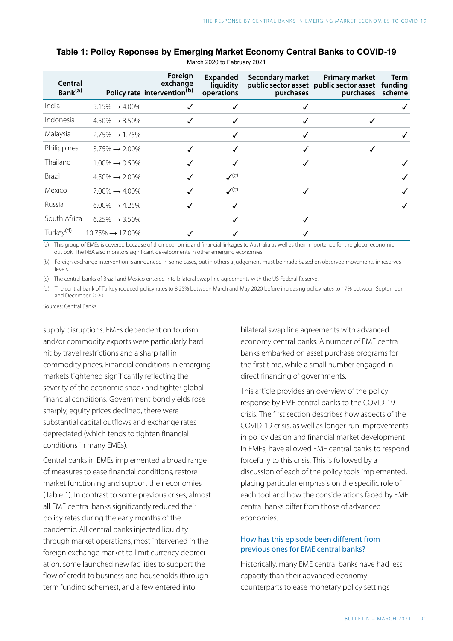| Central<br>Bank <sup>(a)</sup> |                               | Foreign<br>exchange<br>Policy rate intervention <sup>(b)</sup> | Expanded<br>liquidity<br>operations | Secondary market<br>purchases | <b>Primary market</b><br>public sector asset public sector asset<br>purchases scheme | <b>Term</b><br>funding |
|--------------------------------|-------------------------------|----------------------------------------------------------------|-------------------------------------|-------------------------------|--------------------------------------------------------------------------------------|------------------------|
| India                          | $5.15\% \rightarrow 4.00\%$   |                                                                |                                     |                               |                                                                                      |                        |
| Indonesia                      | $4.50\% \rightarrow 3.50\%$   |                                                                |                                     |                               |                                                                                      |                        |
| Malaysia                       | $2.75\% \rightarrow 1.75\%$   |                                                                |                                     |                               |                                                                                      |                        |
| Philippines                    | $3.75\% \rightarrow 2.00\%$   |                                                                |                                     |                               |                                                                                      |                        |
| Thailand                       | $1.00\% \rightarrow 0.50\%$   |                                                                |                                     |                               |                                                                                      |                        |
| <b>Brazil</b>                  | $4.50\% \rightarrow 2.00\%$   |                                                                | $\mathcal{V}^{(c)}$                 |                               |                                                                                      |                        |
| Mexico                         | $7.00\% \rightarrow 4.00\%$   |                                                                | $\mathcal{V}^{(c)}$                 |                               |                                                                                      |                        |
| Russia                         | $6.00\% \rightarrow 4.25\%$   |                                                                | √                                   |                               |                                                                                      |                        |
| South Africa                   | $6.25\% \rightarrow 3.50\%$   |                                                                | ✓                                   |                               |                                                                                      |                        |
| Turkey <sup>(d)</sup>          | $10.75\% \rightarrow 17.00\%$ |                                                                |                                     |                               |                                                                                      |                        |

#### **Table 1: Policy Reponses by Emerging Market Economy Central Banks to COVID-19**

March 2020 to February 2021

(a) This group of EMEs is covered because of their economic and financial linkages to Australia as well as their importance for the global economic outlook. The RBA also monitors significant developments in other emerging economies.

(b) Foreign exchange intervention is announced in some cases, but in others a judgement must be made based on observed movements in reserves levels.

(c) The central banks of Brazil and Mexico entered into bilateral swap line agreements with the US Federal Reserve.

(d) The central bank of Turkey reduced policy rates to 8.25% between March and May 2020 before increasing policy rates to 17% between September and December 2020.

Sources: Central Banks

supply disruptions. EMEs dependent on tourism and/or commodity exports were particularly hard hit by travel restrictions and a sharp fall in commodity prices. Financial conditions in emerging markets tightened significantly reflecting the severity of the economic shock and tighter global financial conditions. Government bond yields rose sharply, equity prices declined, there were substantial capital outflows and exchange rates depreciated (which tends to tighten financial conditions in many EMEs).

Central banks in EMEs implemented a broad range of measures to ease financial conditions, restore market functioning and support their economies (Table 1). In contrast to some previous crises, almost all EME central banks significantly reduced their policy rates during the early months of the pandemic. All central banks injected liquidity through market operations, most intervened in the foreign exchange market to limit currency depreciation, some launched new facilities to support the flow of credit to business and households (through term funding schemes), and a few entered into

bilateral swap line agreements with advanced economy central banks. A number of EME central banks embarked on asset purchase programs for the first time, while a small number engaged in direct financing of governments.

This article provides an overview of the policy response by EME central banks to the COVID-19 crisis. The first section describes how aspects of the COVID-19 crisis, as well as longer-run improvements in policy design and financial market development in EMEs, have allowed EME central banks to respond forcefully to this crisis. This is followed by a discussion of each of the policy tools implemented, placing particular emphasis on the specific role of each tool and how the considerations faced by EME central banks differ from those of advanced economies.

#### How has this episode been different from previous ones for EME central banks?

Historically, many EME central banks have had less capacity than their advanced economy counterparts to ease monetary policy settings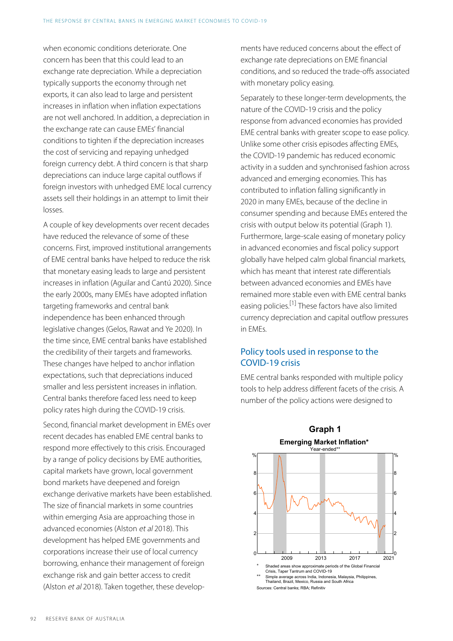when economic conditions deteriorate. One concern has been that this could lead to an exchange rate depreciation. While a depreciation typically supports the economy through net exports, it can also lead to large and persistent increases in inflation when inflation expectations are not well anchored. In addition, a depreciation in the exchange rate can cause EMEs' financial conditions to tighten if the depreciation increases the cost of servicing and repaying unhedged foreign currency debt. A third concern is that sharp depreciations can induce large capital outflows if foreign investors with unhedged EME local currency assets sell their holdings in an attempt to limit their losses.

<span id="page-2-0"></span>A couple of key developments over recent decades have reduced the relevance of some of these concerns. First, improved institutional arrangements of EME central banks have helped to reduce the risk that monetary easing leads to large and persistent increases in inflation (Aguilar and Cantú 2020). Since the early 2000s, many EMEs have adopted inflation targeting frameworks and central bank independence has been enhanced through legislative changes (Gelos, Rawat and Ye 2020). In the time since, EME central banks have established the credibility of their targets and frameworks. These changes have helped to anchor inflation expectations, such that depreciations induced smaller and less persistent increases in inflation. Central banks therefore faced less need to keep policy rates high during the COVID-19 crisis.

Second, financial market development in EMEs over recent decades has enabled EME central banks to respond more effectively to this crisis. Encouraged by a range of policy decisions by EME authorities, capital markets have grown, local government bond markets have deepened and foreign exchange derivative markets have been established. The size of financial markets in some countries within emerging Asia are approaching those in advanced economies (Alston et al 2018). This development has helped EME governments and corporations increase their use of local currency borrowing, enhance their management of foreign exchange risk and gain better access to credit (Alston et al 2018). Taken together, these developments have reduced concerns about the effect of exchange rate depreciations on EME financial conditions, and so reduced the trade-offs associated with monetary policy easing.

Separately to these longer-term developments, the nature of the COVID-19 crisis and the policy response from advanced economies has provided EME central banks with greater scope to ease policy. Unlike some other crisis episodes affecting EMEs, the COVID-19 pandemic has reduced economic activity in a sudden and synchronised fashion across advanced and emerging economies. This has contributed to inflation falling significantly in 2020 in many EMEs, because of the decline in consumer spending and because EMEs entered the crisis with output below its potential (Graph 1). Furthermore, large-scale easing of monetary policy in advanced economies and fiscal policy support globally have helped calm global financial markets, which has meant that interest rate differentials between advanced economies and EMEs have remained more stable even with EME central banks easing policies.<sup>[\[1\]](#page-9-1)</sup> These factors have also limited currency depreciation and capital outflow pressures in EMEs.

## Policy tools used in response to the COVID-19 crisis

EME central banks responded with multiple policy tools to help address different facets of the crisis. A number of the policy actions were designed to



## **Graph 1 Emerging Market Inflation\***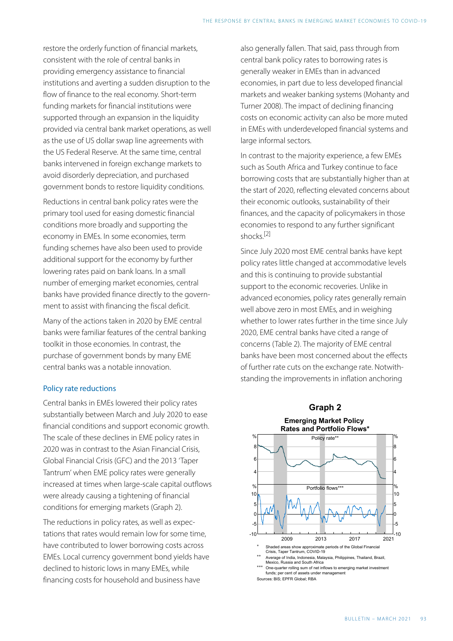restore the orderly function of financial markets, consistent with the role of central banks in providing emergency assistance to financial institutions and averting a sudden disruption to the flow of finance to the real economy. Short-term funding markets for financial institutions were supported through an expansion in the liquidity provided via central bank market operations, as well as the use of US dollar swap line agreements with the US Federal Reserve. At the same time, central banks intervened in foreign exchange markets to avoid disorderly depreciation, and purchased government bonds to restore liquidity conditions.

<span id="page-3-0"></span>Reductions in central bank policy rates were the primary tool used for easing domestic financial conditions more broadly and supporting the economy in EMEs. In some economies, term funding schemes have also been used to provide additional support for the economy by further lowering rates paid on bank loans. In a small number of emerging market economies, central banks have provided finance directly to the government to assist with financing the fiscal deficit.

Many of the actions taken in 2020 by EME central banks were familiar features of the central banking toolkit in those economies. In contrast, the purchase of government bonds by many EME central banks was a notable innovation.

#### Policy rate reductions

Central banks in EMEs lowered their policy rates substantially between March and July 2020 to ease financial conditions and support economic growth. The scale of these declines in EME policy rates in 2020 was in contrast to the Asian Financial Crisis, Global Financial Crisis (GFC) and the 2013 'Taper Tantrum' when EME policy rates were generally increased at times when large-scale capital outflows were already causing a tightening of financial conditions for emerging markets (Graph 2).

The reductions in policy rates, as well as expectations that rates would remain low for some time, have contributed to lower borrowing costs across EMEs. Local currency government bond yields have declined to historic lows in many EMEs, while financing costs for household and business have

also generally fallen. That said, pass through from central bank policy rates to borrowing rates is generally weaker in EMEs than in advanced economies, in part due to less developed financial markets and weaker banking systems (Mohanty and Turner 2008). The impact of declining financing costs on economic activity can also be more muted in EMEs with underdeveloped financial systems and large informal sectors.

In contrast to the majority experience, a few EMEs such as South Africa and Turkey continue to face borrowing costs that are substantially higher than at the start of 2020, reflecting elevated concerns about their economic outlooks, sustainability of their finances, and the capacity of policymakers in those economies to respond to any further significant shocks. [\[2\]](#page-9-2) 

Since July 2020 most EME central banks have kept policy rates little changed at accommodative levels and this is continuing to provide substantial support to the economic recoveries. Unlike in advanced economies, policy rates generally remain well above zero in most EMEs, and in weighing whether to lower rates further in the time since July 2020, EME central banks have cited a range of concerns (Table 2). The majority of EME central banks have been most concerned about the effects of further rate cuts on the exchange rate. Notwithstanding the improvements in inflation anchoring

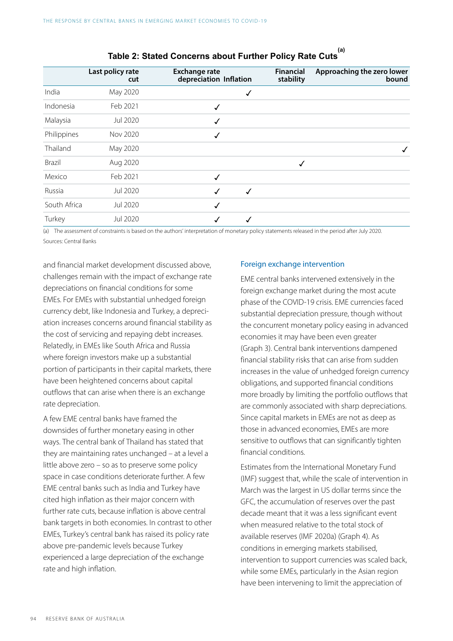|              | Last policy rate<br>cut | <b>Exchange rate</b><br>depreciation Inflation |   | <b>Financial</b><br>stability | Approaching the zero lower<br>bound |
|--------------|-------------------------|------------------------------------------------|---|-------------------------------|-------------------------------------|
| India        | May 2020                |                                                | √ |                               |                                     |
| Indonesia    | Feb 2021                | √                                              |   |                               |                                     |
| Malaysia     | <b>Jul 2020</b>         | ✓                                              |   |                               |                                     |
| Philippines  | Nov 2020                | √                                              |   |                               |                                     |
| Thailand     | May 2020                |                                                |   |                               |                                     |
| Brazil       | Aug 2020                |                                                |   | √                             |                                     |
| Mexico       | Feb 2021                | ✓                                              |   |                               |                                     |
| Russia       | Jul 2020                | √                                              | √ |                               |                                     |
| South Africa | Jul 2020                | ✓                                              |   |                               |                                     |
| Turkey       | Jul 2020                |                                                |   |                               |                                     |

# **Table 2: Stated Concerns about Further Policy Rate Cuts (a)**

(a) The assessment of constraints is based on the authors' interpretation of monetary policy statements released in the period after July 2020. Sources: Central Banks

and financial market development discussed above, challenges remain with the impact of exchange rate depreciations on financial conditions for some EMEs. For EMEs with substantial unhedged foreign currency debt, like Indonesia and Turkey, a depreciation increases concerns around financial stability as the cost of servicing and repaying debt increases. Relatedly, in EMEs like South Africa and Russia where foreign investors make up a substantial portion of participants in their capital markets, there have been heightened concerns about capital outflows that can arise when there is an exchange rate depreciation.

A few EME central banks have framed the downsides of further monetary easing in other ways. The central bank of Thailand has stated that they are maintaining rates unchanged – at a level a little above zero – so as to preserve some policy space in case conditions deteriorate further. A few EME central banks such as India and Turkey have cited high inflation as their major concern with further rate cuts, because inflation is above central bank targets in both economies. In contrast to other EMEs, Turkey's central bank has raised its policy rate above pre-pandemic levels because Turkey experienced a large depreciation of the exchange rate and high inflation.

#### Foreign exchange intervention

EME central banks intervened extensively in the foreign exchange market during the most acute phase of the COVID-19 crisis. EME currencies faced substantial depreciation pressure, though without the concurrent monetary policy easing in advanced economies it may have been even greater (Graph 3). Central bank interventions dampened financial stability risks that can arise from sudden increases in the value of unhedged foreign currency obligations, and supported financial conditions more broadly by limiting the portfolio outflows that are commonly associated with sharp depreciations. Since capital markets in EMEs are not as deep as those in advanced economies, EMEs are more sensitive to outflows that can significantly tighten financial conditions.

Estimates from the International Monetary Fund (IMF) suggest that, while the scale of intervention in March was the largest in US dollar terms since the GFC, the accumulation of reserves over the past decade meant that it was a less significant event when measured relative to the total stock of available reserves (IMF 2020a) (Graph 4). As conditions in emerging markets stabilised, intervention to support currencies was scaled back, while some EMEs, particularly in the Asian region have been intervening to limit the appreciation of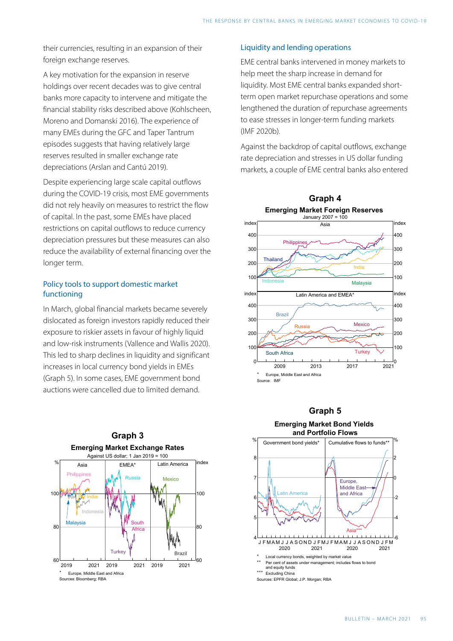their currencies, resulting in an expansion of their foreign exchange reserves.

A key motivation for the expansion in reserve holdings over recent decades was to give central banks more capacity to intervene and mitigate the financial stability risks described above (Kohlscheen, Moreno and Domanski 2016). The experience of many EMEs during the GFC and Taper Tantrum episodes suggests that having relatively large reserves resulted in smaller exchange rate depreciations (Arslan and Cantú 2019).

Despite experiencing large scale capital outflows during the COVID-19 crisis, most EME governments did not rely heavily on measures to restrict the flow of capital. In the past, some EMEs have placed restrictions on capital outflows to reduce currency depreciation pressures but these measures can also reduce the availability of external financing over the longer term.

#### Policy tools to support domestic market functioning

In March, global financial markets became severely dislocated as foreign investors rapidly reduced their exposure to riskier assets in favour of highly liquid and low-risk instruments (Vallence and Wallis 2020). This led to sharp declines in liquidity and significant increases in local currency bond yields in EMEs (Graph 5). In some cases, EME government bond auctions were cancelled due to limited demand.



#### Liquidity and lending operations

EME central banks intervened in money markets to help meet the sharp increase in demand for liquidity. Most EME central banks expanded shortterm open market repurchase operations and some lengthened the duration of repurchase agreements to ease stresses in longer-term funding markets (IMF 2020b).

Against the backdrop of capital outflows, exchange rate depreciation and stresses in US dollar funding markets, a couple of EME central banks also entered





#### **Graph 5**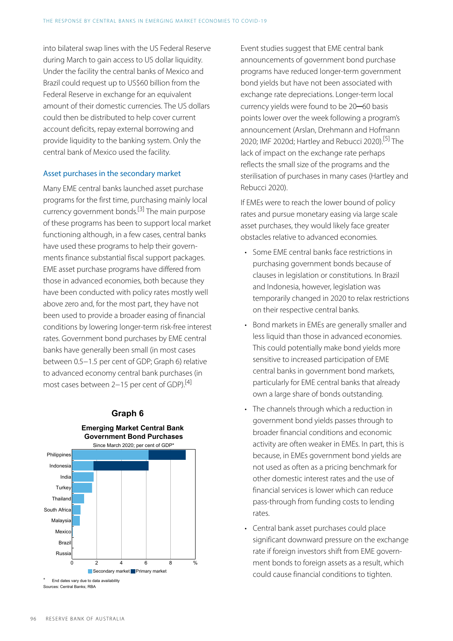into bilateral swap lines with the US Federal Reserve during March to gain access to US dollar liquidity. Under the facility the central banks of Mexico and Brazil could request up to US\$60 billion from the Federal Reserve in exchange for an equivalent amount of their domestic currencies. The US dollars could then be distributed to help cover current account deficits, repay external borrowing and provide liquidity to the banking system. Only the central bank of Mexico used the facility.

#### <span id="page-6-2"></span>Asset purchases in the secondary market

<span id="page-6-0"></span>Many EME central banks launched asset purchase programs for the first time, purchasing mainly local currency government bonds. [\[3\]](#page-9-3) The main purpose of these programs has been to support local market functioning although, in a few cases, central banks have used these programs to help their governments finance substantial fiscal support packages. EME asset purchase programs have differed from those in advanced economies, both because they have been conducted with policy rates mostly well above zero and, for the most part, they have not been used to provide a broader easing of financial conditions by lowering longer-term risk-free interest rates. Government bond purchases by EME central banks have generally been small (in most cases between 0.5−1.5 per cent of GDP; Graph 6) relative to advanced economy central bank purchases (in most cases between 2−15 per cent of GDP).[\[4\]](#page-9-4)

<span id="page-6-1"></span>

**Graph 6** 

Event studies suggest that EME central bank announcements of government bond purchase programs have reduced longer-term government bond yields but have not been associated with exchange rate depreciations. Longer-term local currency yields were found to be 20─60 basis points lower over the week following a program's announcement (Arslan, Drehmann and Hofmann 2020; IMF 2020d; Hartley and Rebucci 2020).[\[5\]](#page-9-5) The lack of impact on the exchange rate perhaps reflects the small size of the programs and the sterilisation of purchases in many cases (Hartley and Rebucci 2020).

If EMEs were to reach the lower bound of policy rates and pursue monetary easing via large scale asset purchases, they would likely face greater obstacles relative to advanced economies.

- Some EME central banks face restrictions in purchasing government bonds because of clauses in legislation or constitutions. In Brazil and Indonesia, however, legislation was temporarily changed in 2020 to relax restrictions on their respective central banks.
- Bond markets in EMEs are generally smaller and less liquid than those in advanced economies. This could potentially make bond yields more sensitive to increased participation of EME central banks in government bond markets, particularly for EME central banks that already own a large share of bonds outstanding.
- The channels through which a reduction in government bond yields passes through to broader financial conditions and economic activity are often weaker in EMEs. In part, this is because, in EMEs government bond yields are not used as often as a pricing benchmark for other domestic interest rates and the use of financial services is lower which can reduce pass-through from funding costs to lending rates.
- Central bank asset purchases could place significant downward pressure on the exchange rate if foreign investors shift from EME government bonds to foreign assets as a result, which could cause financial conditions to tighten.

Sources: Central Banks; RBA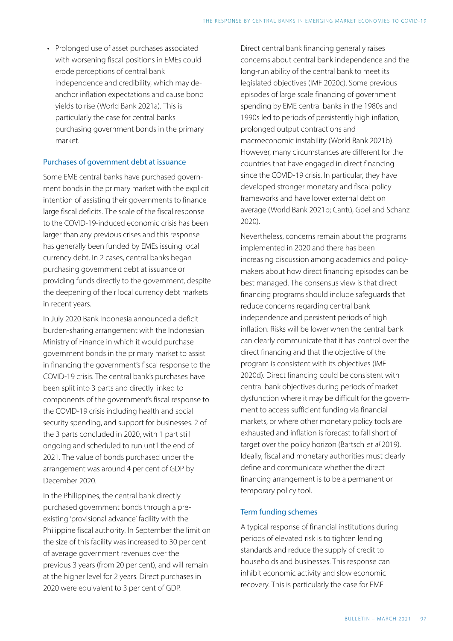• Prolonged use of asset purchases associated with worsening fiscal positions in EMEs could erode perceptions of central bank independence and credibility, which may deanchor inflation expectations and cause bond yields to rise (World Bank 2021a). This is particularly the case for central banks purchasing government bonds in the primary market.

#### Purchases of government debt at issuance

Some EME central banks have purchased government bonds in the primary market with the explicit intention of assisting their governments to finance large fiscal deficits. The scale of the fiscal response to the COVID-19-induced economic crisis has been larger than any previous crises and this response has generally been funded by EMEs issuing local currency debt. In 2 cases, central banks began purchasing government debt at issuance or providing funds directly to the government, despite the deepening of their local currency debt markets in recent years.

In July 2020 Bank Indonesia announced a deficit burden-sharing arrangement with the Indonesian Ministry of Finance in which it would purchase government bonds in the primary market to assist in financing the government's fiscal response to the COVID-19 crisis. The central bank's purchases have been split into 3 parts and directly linked to components of the government's fiscal response to the COVID-19 crisis including health and social security spending, and support for businesses. 2 of the 3 parts concluded in 2020, with 1 part still ongoing and scheduled to run until the end of 2021. The value of bonds purchased under the arrangement was around 4 per cent of GDP by December 2020.

In the Philippines, the central bank directly purchased government bonds through a preexisting 'provisional advance' facility with the Philippine fiscal authority. In September the limit on the size of this facility was increased to 30 per cent of average government revenues over the previous 3 years (from 20 per cent), and will remain at the higher level for 2 years. Direct purchases in 2020 were equivalent to 3 per cent of GDP.

Direct central bank financing generally raises concerns about central bank independence and the long-run ability of the central bank to meet its legislated objectives (IMF 2020c). Some previous episodes of large scale financing of government spending by EME central banks in the 1980s and 1990s led to periods of persistently high inflation, prolonged output contractions and macroeconomic instability (World Bank 2021b). However, many circumstances are different for the countries that have engaged in direct financing since the COVID-19 crisis. In particular, they have developed stronger monetary and fiscal policy frameworks and have lower external debt on average (World Bank 2021b; Cantú, Goel and Schanz 2020).

Nevertheless, concerns remain about the programs implemented in 2020 and there has been increasing discussion among academics and policymakers about how direct financing episodes can be best managed. The consensus view is that direct financing programs should include safeguards that reduce concerns regarding central bank independence and persistent periods of high inflation. Risks will be lower when the central bank can clearly communicate that it has control over the direct financing and that the objective of the program is consistent with its objectives (IMF 2020d). Direct financing could be consistent with central bank objectives during periods of market dysfunction where it may be difficult for the government to access sufficient funding via financial markets, or where other monetary policy tools are exhausted and inflation is forecast to fall short of target over the policy horizon (Bartsch et al 2019). Ideally, fiscal and monetary authorities must clearly define and communicate whether the direct financing arrangement is to be a permanent or temporary policy tool.

#### Term funding schemes

A typical response of financial institutions during periods of elevated risk is to tighten lending standards and reduce the supply of credit to households and businesses. This response can inhibit economic activity and slow economic recovery. This is particularly the case for EME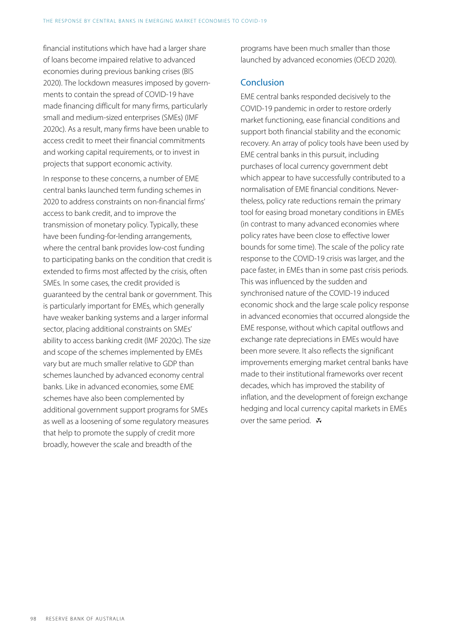financial institutions which have had a larger share of loans become impaired relative to advanced economies during previous banking crises (BIS 2020). The lockdown measures imposed by governments to contain the spread of COVID-19 have made financing difficult for many firms, particularly small and medium-sized enterprises (SMEs) (IMF 2020c). As a result, many firms have been unable to access credit to meet their financial commitments and working capital requirements, or to invest in projects that support economic activity.

In response to these concerns, a number of EME central banks launched term funding schemes in 2020 to address constraints on non-financial firms' access to bank credit, and to improve the transmission of monetary policy. Typically, these have been funding-for-lending arrangements, where the central bank provides low-cost funding to participating banks on the condition that credit is extended to firms most affected by the crisis, often SMEs. In some cases, the credit provided is guaranteed by the central bank or government. This is particularly important for EMEs, which generally have weaker banking systems and a larger informal sector, placing additional constraints on SMEs' ability to access banking credit (IMF 2020c). The size and scope of the schemes implemented by EMEs vary but are much smaller relative to GDP than schemes launched by advanced economy central banks. Like in advanced economies, some EME schemes have also been complemented by additional government support programs for SMEs as well as a loosening of some regulatory measures that help to promote the supply of credit more broadly, however the scale and breadth of the

programs have been much smaller than those launched by advanced economies (OECD 2020).

### **Conclusion**

EME central banks responded decisively to the COVID-19 pandemic in order to restore orderly market functioning, ease financial conditions and support both financial stability and the economic recovery. An array of policy tools have been used by EME central banks in this pursuit, including purchases of local currency government debt which appear to have successfully contributed to a normalisation of EME financial conditions. Nevertheless, policy rate reductions remain the primary tool for easing broad monetary conditions in EMEs (in contrast to many advanced economies where policy rates have been close to effective lower bounds for some time). The scale of the policy rate response to the COVID-19 crisis was larger, and the pace faster, in EMEs than in some past crisis periods. This was influenced by the sudden and synchronised nature of the COVID-19 induced economic shock and the large scale policy response in advanced economies that occurred alongside the EME response, without which capital outflows and exchange rate depreciations in EMEs would have been more severe. It also reflects the significant improvements emerging market central banks have made to their institutional frameworks over recent decades, which has improved the stability of inflation, and the development of foreign exchange hedging and local currency capital markets in EMEs over the same period.  $\mathbf{\ddot{v}}$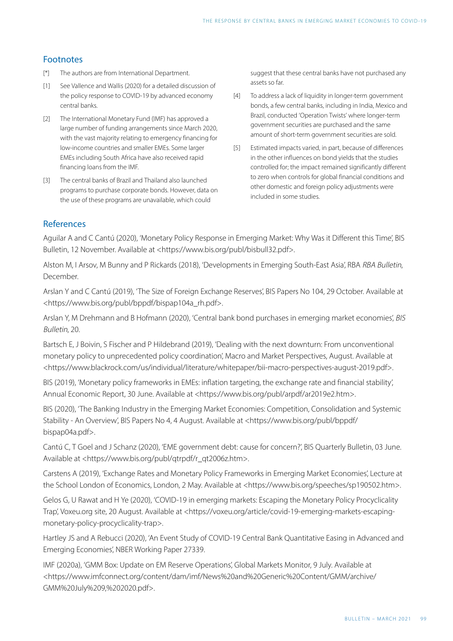## Footnotes

- <span id="page-9-0"></span>[\[\\*\]](#page-0-0) The authors are from International Department.
- <span id="page-9-4"></span><span id="page-9-1"></span>See Vallence and Wallis (2020) for a detailed discussion of the policy response to COVID-19 by advanced economy central banks. [\[1\]](#page-2-0)
- <span id="page-9-5"></span><span id="page-9-2"></span>The International Monetary Fund (IMF) has approved a large number of funding arrangements since March 2020, with the vast majority relating to emergency financing for low-income countries and smaller EMEs. Some larger EMEs including South Africa have also received rapid financing loans from the IMF. [\[2\]](#page-3-0)
- <span id="page-9-3"></span>The central banks of Brazil and Thailand also launched programs to purchase corporate bonds. However, data on the use of these programs are unavailable, which could [\[3\]](#page-6-0)

suggest that these central banks have not purchased any assets so far.

- [\[4\]](#page-6-1) To address a lack of liquidity in longer-term government bonds, a few central banks, including in India, Mexico and Brazil, conducted 'Operation Twists' where longer-term government securities are purchased and the same amount of short-term government securities are sold.
- Estimated impacts varied, in part, because of differences in the other influences on bond yields that the studies controlled for; the impact remained significantly different to zero when controls for global financial conditions and other domestic and foreign policy adjustments were included in some studies. [\[5\]](#page-6-2)

## References

Aguilar A and C Cantú (2020), 'Monetary Policy Response in Emerging Market: Why Was it Different this Time', BIS Bulletin, 12 November. Available at <https://www.bis.org/publ/bisbull32.pdf>.

Alston M, I Arsov, M Bunny and P Rickards (2018), ['Developments in Emerging South-East Asia](https://www.rba.gov.au/publications/bulletin/2018/dec/developments-in-emerging-south-east-asia.html)', RBA RBA Bulletin, December.

Arslan Y and C Cantú (2019), 'The Size of Foreign Exchange Reserves', BIS Papers No 104, 29 October. Available at <https://www.bis.org/publ/bppdf/bispap104a\_rh.pdf>.

Arslan Y, M Drehmann and B Hofmann (2020), 'Central bank bond purchases in emerging market economies', BIS Bulletin, 20.

Bartsch E, J Boivin, S Fischer and P Hildebrand (2019), 'Dealing with the next downturn: From unconventional monetary policy to unprecedented policy coordination', Macro and Market Perspectives, August. Available at <https://www.blackrock.com/us/individual/literature/whitepaper/bii-macro-perspectives-august-2019.pdf>.

BIS (2019), 'Monetary policy frameworks in EMEs: inflation targeting, the exchange rate and financial stability', Annual Economic Report, 30 June. Available at <https://www.bis.org/publ/arpdf/ar2019e2.htm>.

BIS (2020), 'The Banking Industry in the Emerging Market Economies: Competition, Consolidation and Systemic Stability - An Overview', BIS Papers No 4, 4 August. Available at <https://www.bis.org/publ/bppdf/ bispap04a.pdf>.

Cantú C, T Goel and J Schanz (2020), 'EME government debt: cause for concern?', BIS Quarterly Bulletin, 03 June. Available at <https://www.bis.org/publ/qtrpdf/r\_qt2006z.htm>.

Carstens A (2019), 'Exchange Rates and Monetary Policy Frameworks in Emerging Market Economies', Lecture at the School London of Economics, London, 2 May. Available at <https://www.bis.org/speeches/sp190502.htm>.

Gelos G, U Rawat and H Ye (2020), 'COVID-19 in emerging markets: Escaping the Monetary Policy Procyclicality Trap', Voxeu.org site, 20 August. Available at <https://voxeu.org/article/covid-19-emerging-markets-escapingmonetary-policy-procyclicality-trap>.

Hartley JS and A Rebucci (2020), 'An Event Study of COVID-19 Central Bank Quantitative Easing in Advanced and Emerging Economies', NBER Working Paper 27339.

IMF (2020a), 'GMM Box: Update on EM Reserve Operations', Global Markets Monitor, 9 July. Available at <https://www.imfconnect.org/content/dam/imf/News%20and%20Generic%20Content/GMM/archive/ GMM%20July%209,%202020.pdf>.